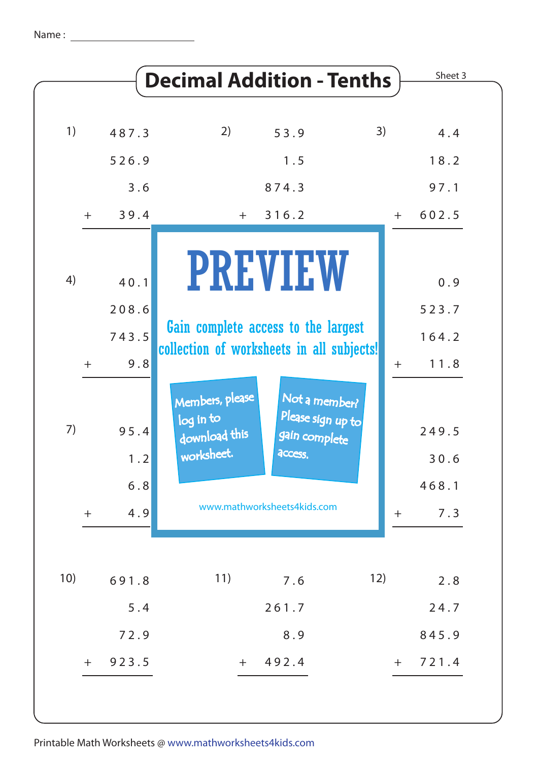|     |             | <b>Decimal Addition - Tenths</b>                            |                                                                |     | Sheet 3       |
|-----|-------------|-------------------------------------------------------------|----------------------------------------------------------------|-----|---------------|
| 1)  | 487.3       | 2)                                                          | 53.9                                                           | 3)  | 4.4           |
|     | 526.9       |                                                             | 1.5                                                            |     | 18.2          |
|     | 3.6         |                                                             | 874.3                                                          |     | 97.1          |
| $+$ | 39.4        | $+$                                                         | 316.2                                                          | $+$ | 602.5         |
| 4)  | 40.1        |                                                             | <b>PREVIEW</b>                                                 |     | 0.9           |
|     |             |                                                             |                                                                |     |               |
|     | 208.6       | Gain complete access to the largest                         |                                                                |     | 523.7         |
|     | 743.5       | collection of worksheets in all subjects!                   |                                                                |     | 164.2         |
| $+$ | 9.8         |                                                             |                                                                | $+$ | 11.8          |
| 7)  | 95.4<br>1.2 | Members, please<br>log in to<br>download this<br>worksheet. | Not a member?<br>Please sign up to<br>gain complete<br>access. |     | 249.5<br>30.6 |
|     | $6.8$       |                                                             |                                                                |     | 468.1         |
| $+$ | 4.9         |                                                             | www.mathworksheets4kids.com                                    | $+$ | 7.3           |
|     |             |                                                             |                                                                |     |               |
| 10) | 691.8       | 11)                                                         | 7.6                                                            | 12) | 2.8           |
|     | $5.4$       |                                                             | 261.7                                                          |     | 24.7          |
|     | 72.9        |                                                             | 8.9                                                            |     | 845.9         |
| $+$ | 923.5       | $+$                                                         | 492.4                                                          | $+$ | 721.4         |